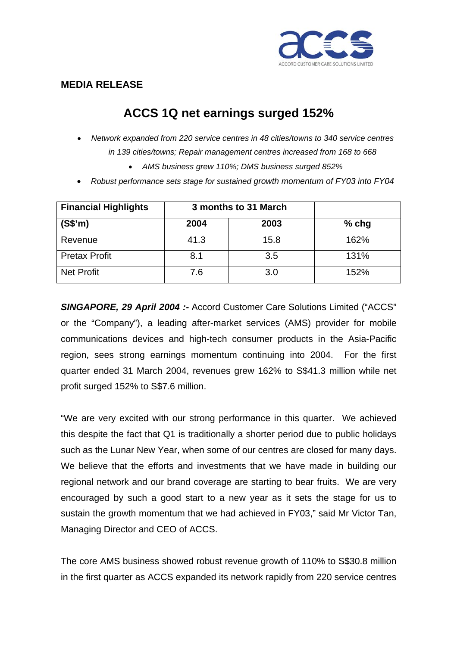

## **MEDIA RELEASE**

## **ACCS 1Q net earnings surged 152%**

- *Network expanded from 220 service centres in 48 cities/towns to 340 service centres in 139 cities/towns; Repair management centres increased from 168 to 668* 
	- *AMS business grew 110%; DMS business surged 852%*
- *Robust performance sets stage for sustained growth momentum of FY03 into FY04*

| <b>Financial Highlights</b> | 3 months to 31 March |      |         |
|-----------------------------|----------------------|------|---------|
| (S\$'m)                     | 2004                 | 2003 | $%$ chg |
| Revenue                     | 41.3                 | 15.8 | 162%    |
| <b>Pretax Profit</b>        | 8.1                  | 3.5  | 131%    |
| Net Profit                  | 7.6                  | 3.0  | 152%    |

*SINGAPORE, 29 April 2004 :-* Accord Customer Care Solutions Limited ("ACCS" or the "Company"), a leading after-market services (AMS) provider for mobile communications devices and high-tech consumer products in the Asia-Pacific region, sees strong earnings momentum continuing into 2004. For the first quarter ended 31 March 2004, revenues grew 162% to S\$41.3 million while net profit surged 152% to S\$7.6 million.

"We are very excited with our strong performance in this quarter. We achieved this despite the fact that Q1 is traditionally a shorter period due to public holidays such as the Lunar New Year, when some of our centres are closed for many days. We believe that the efforts and investments that we have made in building our regional network and our brand coverage are starting to bear fruits. We are very encouraged by such a good start to a new year as it sets the stage for us to sustain the growth momentum that we had achieved in FY03," said Mr Victor Tan, Managing Director and CEO of ACCS.

The core AMS business showed robust revenue growth of 110% to S\$30.8 million in the first quarter as ACCS expanded its network rapidly from 220 service centres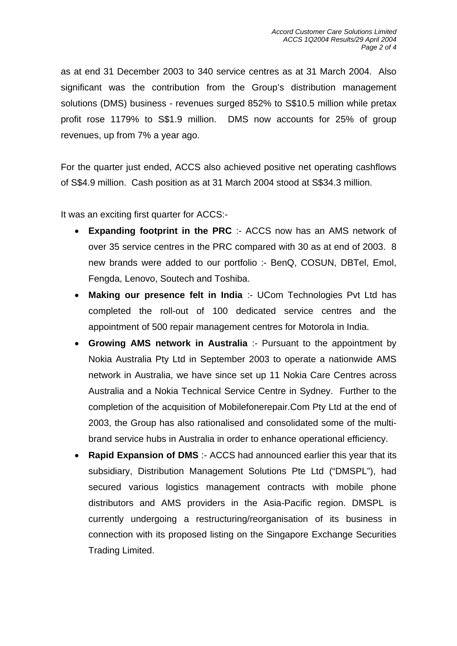as at end 31 December 2003 to 340 service centres as at 31 March 2004. Also significant was the contribution from the Group's distribution management solutions (DMS) business - revenues surged 852% to S\$10.5 million while pretax profit rose 1179% to S\$1.9 million. DMS now accounts for 25% of group revenues, up from 7% a year ago.

For the quarter just ended, ACCS also achieved positive net operating cashflows of S\$4.9 million. Cash position as at 31 March 2004 stood at S\$34.3 million.

It was an exciting first quarter for ACCS:-

- **Expanding footprint in the PRC** :- ACCS now has an AMS network of over 35 service centres in the PRC compared with 30 as at end of 2003. 8 new brands were added to our portfolio :- BenQ, COSUN, DBTel, Emol, Fengda, Lenovo, Soutech and Toshiba.
- **Making our presence felt in India** :- UCom Technologies Pvt Ltd has completed the roll-out of 100 dedicated service centres and the appointment of 500 repair management centres for Motorola in India.
- **Growing AMS network in Australia** :- Pursuant to the appointment by Nokia Australia Pty Ltd in September 2003 to operate a nationwide AMS network in Australia, we have since set up 11 Nokia Care Centres across Australia and a Nokia Technical Service Centre in Sydney. Further to the completion of the acquisition of Mobilefonerepair.Com Pty Ltd at the end of 2003, the Group has also rationalised and consolidated some of the multibrand service hubs in Australia in order to enhance operational efficiency.
- **Rapid Expansion of DMS** :- ACCS had announced earlier this year that its subsidiary, Distribution Management Solutions Pte Ltd ("DMSPL"), had secured various logistics management contracts with mobile phone distributors and AMS providers in the Asia-Pacific region. DMSPL is currently undergoing a restructuring/reorganisation of its business in connection with its proposed listing on the Singapore Exchange Securities Trading Limited.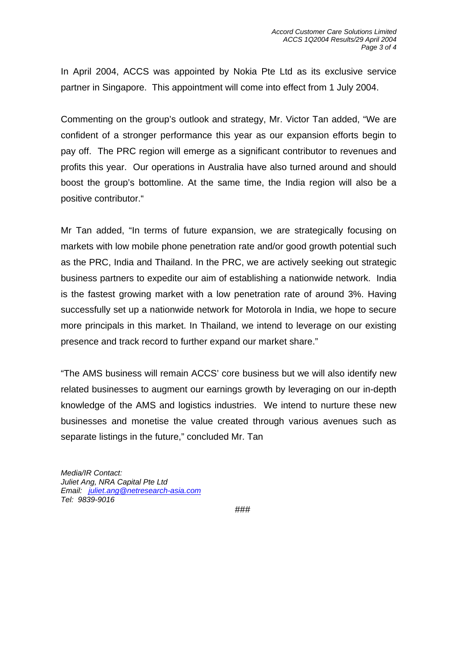In April 2004, ACCS was appointed by Nokia Pte Ltd as its exclusive service partner in Singapore. This appointment will come into effect from 1 July 2004.

Commenting on the group's outlook and strategy, Mr. Victor Tan added, "We are confident of a stronger performance this year as our expansion efforts begin to pay off. The PRC region will emerge as a significant contributor to revenues and profits this year. Our operations in Australia have also turned around and should boost the group's bottomline. At the same time, the India region will also be a positive contributor."

Mr Tan added, "In terms of future expansion, we are strategically focusing on markets with low mobile phone penetration rate and/or good growth potential such as the PRC, India and Thailand. In the PRC, we are actively seeking out strategic business partners to expedite our aim of establishing a nationwide network. India is the fastest growing market with a low penetration rate of around 3%. Having successfully set up a nationwide network for Motorola in India, we hope to secure more principals in this market. In Thailand, we intend to leverage on our existing presence and track record to further expand our market share."

"The AMS business will remain ACCS' core business but we will also identify new related businesses to augment our earnings growth by leveraging on our in-depth knowledge of the AMS and logistics industries. We intend to nurture these new businesses and monetise the value created through various avenues such as separate listings in the future," concluded Mr. Tan

*Media/IR Contact: Juliet Ang, NRA Capital Pte Ltd Email: juliet.ang@netresearch-asia.com Tel: 9839-9016*

*###*